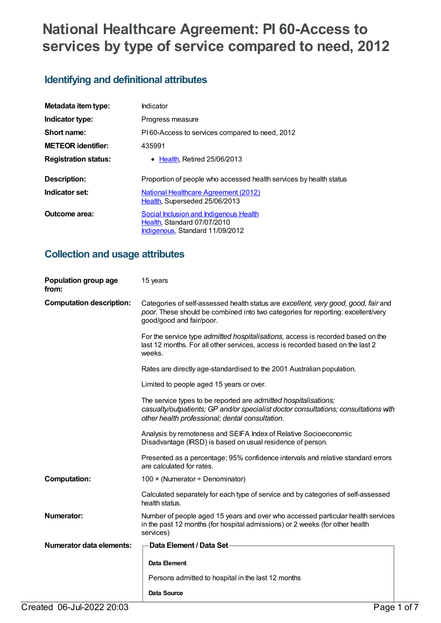# **National Healthcare Agreement: PI 60-Access to services by type of service compared to need, 2012**

# **Identifying and definitional attributes**

| Metadata item type:         | Indicator                                                                                                |  |
|-----------------------------|----------------------------------------------------------------------------------------------------------|--|
| Indicator type:             | Progress measure                                                                                         |  |
| Short name:                 | PI60-Access to services compared to need, 2012                                                           |  |
| <b>METEOR</b> identifier:   | 435991                                                                                                   |  |
| <b>Registration status:</b> | $\bullet$ Health. Retired 25/06/2013                                                                     |  |
| Description:                | Proportion of people who accessed health services by health status                                       |  |
| Indicator set:              | <b>National Healthcare Agreement (2012)</b><br>Health, Superseded 25/06/2013                             |  |
| Outcome area:               | Social Inclusion and Indigenous Health<br>Health, Standard 07/07/2010<br>Indigenous, Standard 11/09/2012 |  |

# **Collection and usage attributes**

| Population group age<br>from:   | 15 years                                                                                                                                                                                                  |
|---------------------------------|-----------------------------------------------------------------------------------------------------------------------------------------------------------------------------------------------------------|
| <b>Computation description:</b> | Categories of self-assessed health status are excellent, very good, good, fair and<br>poor. These should be combined into two categories for reporting: excellent/very<br>good/good and fair/poor.        |
|                                 | For the service type admitted hospitalisations, access is recorded based on the<br>last 12 months. For all other services, access is recorded based on the last 2<br>weeks.                               |
|                                 | Rates are directly age-standardised to the 2001 Australian population.                                                                                                                                    |
|                                 | Limited to people aged 15 years or over.                                                                                                                                                                  |
|                                 | The service types to be reported are admitted hospitalisations;<br>casualty/outpatients; GP and/or specialist doctor consultations; consultations with<br>other health professional; dental consultation. |
|                                 | Analysis by remoteness and SEIFA Index of Relative Socioeconomic<br>Disadvantage (IRSD) is based on usual residence of person.                                                                            |
|                                 | Presented as a percentage; 95% confidence intervals and relative standard errors<br>are calculated for rates.                                                                                             |
| <b>Computation:</b>             | 100 × (Numerator ÷ Denominator)                                                                                                                                                                           |
|                                 | Calculated separately for each type of service and by categories of self-assessed<br>health status.                                                                                                       |
| Numerator:                      | Number of people aged 15 years and over who accessed particular health services<br>in the past 12 months (for hospital admissions) or 2 weeks (for other health<br>services)                              |
| <b>Numerator data elements:</b> | Data Element / Data Set-                                                                                                                                                                                  |
|                                 | Data Element                                                                                                                                                                                              |
|                                 | Persons admitted to hospital in the last 12 months                                                                                                                                                        |
|                                 | Data Source                                                                                                                                                                                               |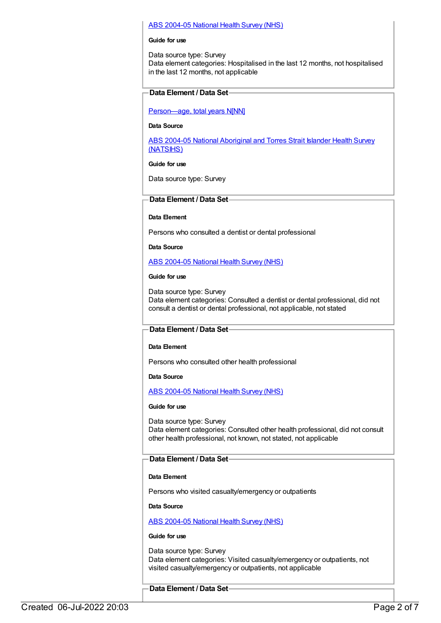## ABS [2004-05](https://meteor.aihw.gov.au/content/394145) National Health Survey (NHS)

#### **Guide for use**

Data source type: Survey Data element categories: Hospitalised in the last 12 months, not hospitalised in the last 12 months, not applicable

# **Data Element / Data Set**

[Person—age,](https://meteor.aihw.gov.au/content/303794) total years N[NN]

## **Data Source**

ABS 2004-05 National [Aboriginal](https://meteor.aihw.gov.au/content/394146) and Torres Strait Islander Health Survey (NATSIHS)

#### **Guide for use**

Data source type: Survey

# **Data Element / Data Set**

# **Data Element**

Persons who consulted a dentist or dental professional

**Data Source**

ABS [2004-05](https://meteor.aihw.gov.au/content/394145) National Health Survey (NHS)

## **Guide for use**

Data source type: Survey Data element categories: Consulted a dentist or dental professional, did not consult a dentist or dental professional, not applicable, not stated

# **Data Element / Data Set**

# **Data Element**

Persons who consulted other health professional

#### **Data Source**

ABS [2004-05](https://meteor.aihw.gov.au/content/394145) National Health Survey (NHS)

#### **Guide for use**

Data source type: Survey Data element categories: Consulted other health professional, did not consult other health professional, not known, not stated, not applicable

# **Data Element / Data Set**

# **Data Element**

Persons who visited casualty/emergency or outpatients

**Data Source**

# ABS [2004-05](https://meteor.aihw.gov.au/content/394145) National Health Survey (NHS)

#### **Guide for use**

Data source type: Survey Data element categories: Visited casualty/emergency or outpatients, not visited casualty/emergency or outpatients, not applicable

# **Data Element / Data Set**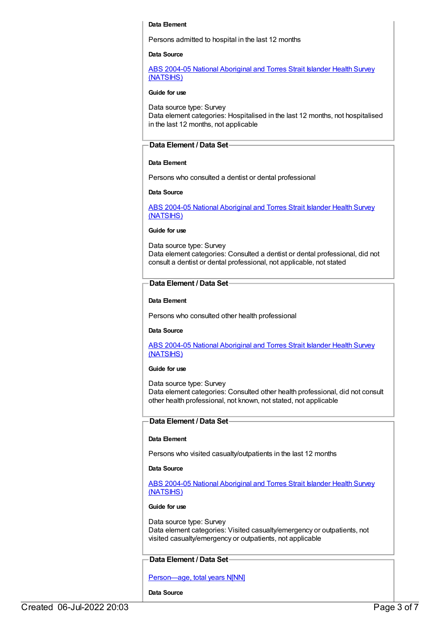#### **Data Element**

Persons admitted to hospital in the last 12 months

## **Data Source**

ABS 2004-05 National Aboriginal and Torres Strait Islander Health Survey [\(NATSIHS\)](https://meteor.aihw.gov.au/content/394146)

#### **Guide for use**

Data source type: Survey Data element categories: Hospitalised in the last 12 months, not hospitalised in the last 12 months, not applicable

### **Data Element / Data Set**

#### **Data Element**

Persons who consulted a dentist or dental professional

#### **Data Source**

ABS 2004-05 National [Aboriginal](https://meteor.aihw.gov.au/content/394146) and Torres Strait Islander Health Survey (NATSIHS)

#### **Guide for use**

Data source type: Survey Data element categories: Consulted a dentist or dental professional, did not consult a dentist or dental professional, not applicable, not stated

## **Data Element / Data Set**

#### **Data Element**

Persons who consulted other health professional

#### **Data Source**

ABS 2004-05 National [Aboriginal](https://meteor.aihw.gov.au/content/394146) and Torres Strait Islander Health Survey (NATSIHS)

#### **Guide for use**

Data source type: Survey Data element categories: Consulted other health professional, did not consult other health professional, not known, not stated, not applicable

#### **Data Element / Data Set**

#### **Data Element**

Persons who visited casualty/outpatients in the last 12 months

#### **Data Source**

ABS 2004-05 National [Aboriginal](https://meteor.aihw.gov.au/content/394146) and Torres Strait Islander Health Survey (NATSIHS)

## **Guide for use**

Data source type: Survey Data element categories: Visited casualty/emergency or outpatients, not visited casualty/emergency or outpatients, not applicable

### **Data Element / Data Set**

[Person—age,](https://meteor.aihw.gov.au/content/303794) total years N[NN]

**Data Source**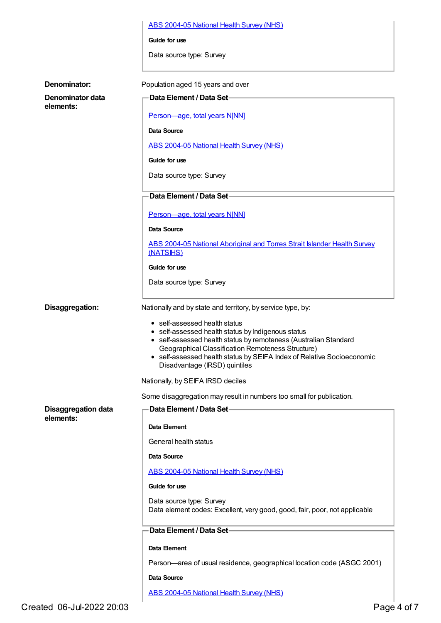| ABS 2004-05 National Health Survey (NHS) |  |  |  |
|------------------------------------------|--|--|--|
|                                          |  |  |  |

**Guide for use**

Data source type: Survey

| Denominator:                                                                   | Population aged 15 years and over                                                                                                                                                                                                                                                                                                                            |  |
|--------------------------------------------------------------------------------|--------------------------------------------------------------------------------------------------------------------------------------------------------------------------------------------------------------------------------------------------------------------------------------------------------------------------------------------------------------|--|
| Denominator data                                                               | Data Element / Data Set-                                                                                                                                                                                                                                                                                                                                     |  |
| elements:                                                                      | Person-age, total years N[NN]                                                                                                                                                                                                                                                                                                                                |  |
|                                                                                | <b>Data Source</b>                                                                                                                                                                                                                                                                                                                                           |  |
|                                                                                | <b>ABS 2004-05 National Health Survey (NHS)</b>                                                                                                                                                                                                                                                                                                              |  |
|                                                                                | Guide for use                                                                                                                                                                                                                                                                                                                                                |  |
|                                                                                | Data source type: Survey                                                                                                                                                                                                                                                                                                                                     |  |
|                                                                                | Data Element / Data Set-                                                                                                                                                                                                                                                                                                                                     |  |
|                                                                                | Person-age, total years N[NN]                                                                                                                                                                                                                                                                                                                                |  |
|                                                                                | Data Source                                                                                                                                                                                                                                                                                                                                                  |  |
|                                                                                | ABS 2004-05 National Aboriginal and Torres Strait Islander Health Survey<br>(NATSIHS)                                                                                                                                                                                                                                                                        |  |
|                                                                                | Guide for use                                                                                                                                                                                                                                                                                                                                                |  |
|                                                                                | Data source type: Survey                                                                                                                                                                                                                                                                                                                                     |  |
|                                                                                |                                                                                                                                                                                                                                                                                                                                                              |  |
| Disaggregation:<br>Nationally and by state and territory, by service type, by: |                                                                                                                                                                                                                                                                                                                                                              |  |
|                                                                                | • self-assessed health status<br>• self-assessed health status by Indigenous status<br>• self-assessed health status by remoteness (Australian Standard<br>Geographical Classification Remoteness Structure)<br>• self-assessed health status by SEIFA Index of Relative Socioeconomic<br>Disadvantage (IRSD) quintiles<br>Nationally, by SEIFA IRSD deciles |  |
|                                                                                | Some disaggregation may result in numbers too small for publication.                                                                                                                                                                                                                                                                                         |  |
| <b>Disaggregation data</b>                                                     | Data Element / Data Set-                                                                                                                                                                                                                                                                                                                                     |  |
| elements:                                                                      | Data Element                                                                                                                                                                                                                                                                                                                                                 |  |
|                                                                                | General health status                                                                                                                                                                                                                                                                                                                                        |  |
|                                                                                | <b>Data Source</b>                                                                                                                                                                                                                                                                                                                                           |  |
|                                                                                |                                                                                                                                                                                                                                                                                                                                                              |  |
|                                                                                | ABS 2004-05 National Health Survey (NHS)<br>Guide for use                                                                                                                                                                                                                                                                                                    |  |
|                                                                                |                                                                                                                                                                                                                                                                                                                                                              |  |
|                                                                                | Data source type: Survey<br>Data element codes: Excellent, very good, good, fair, poor, not applicable                                                                                                                                                                                                                                                       |  |
|                                                                                | Data Element / Data Set-                                                                                                                                                                                                                                                                                                                                     |  |
|                                                                                | Data Element                                                                                                                                                                                                                                                                                                                                                 |  |
|                                                                                | Person-area of usual residence, geographical location code (ASGC 2001)                                                                                                                                                                                                                                                                                       |  |
|                                                                                | Data Source                                                                                                                                                                                                                                                                                                                                                  |  |
|                                                                                | <b>ABS 2004-05 National Health Survey (NHS)</b>                                                                                                                                                                                                                                                                                                              |  |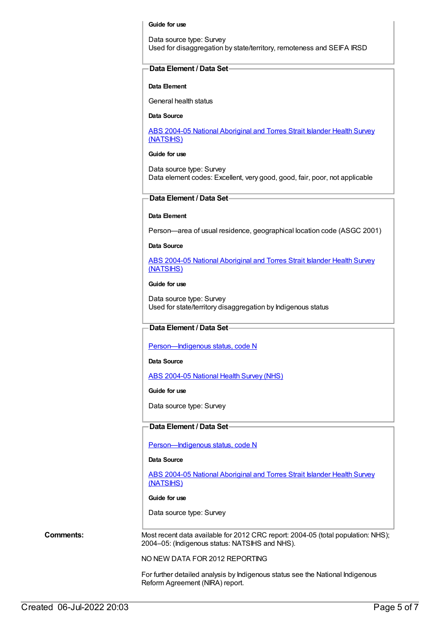#### **Guide for use**

Data source type: Survey Used for disaggregation by state/territory, remoteness and SEIFA IRSD

## **Data Element / Data Set**

#### **Data Element**

General health status

**Data Source**

ABS 2004-05 National [Aboriginal](https://meteor.aihw.gov.au/content/394146) and Torres Strait Islander Health Survey (NATSIHS)

## **Guide for use**

Data source type: Survey Data element codes: Excellent, very good, good, fair, poor, not applicable

# **Data Element / Data Set**

#### **Data Element**

Person—area of usual residence, geographical location code (ASGC 2001)

**Data Source**

ABS 2004-05 National [Aboriginal](https://meteor.aihw.gov.au/content/394146) and Torres Strait Islander Health Survey (NATSIHS)

#### **Guide for use**

Data source type: Survey Used for state/territory disaggregation by Indigenous status

# **Data Element / Data Set**

[Person—Indigenous](https://meteor.aihw.gov.au/content/291036) status, code N

#### **Data Source**

ABS [2004-05](https://meteor.aihw.gov.au/content/394145) National Health Survey (NHS)

#### **Guide for use**

Data source type: Survey

## **Data Element / Data Set**

[Person—Indigenous](https://meteor.aihw.gov.au/content/291036) status, code N

## **Data Source**

ABS 2004-05 National [Aboriginal](https://meteor.aihw.gov.au/content/394146) and Torres Strait Islander Health Survey (NATSIHS)

#### **Guide for use**

Data source type: Survey

**Comments:** Most recent data available for 2012 CRC report: 2004-05 (total population: NHS); 2004–05: (Indigenous status: NATSIHS and NHS).

NO NEW DATA FOR 2012 REPORTING

For further detailed analysis by Indigenous status see the National Indigenous Reform Agreement (NIRA) report.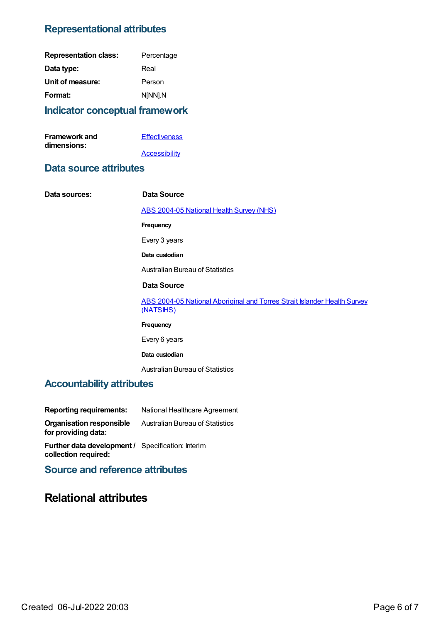# **Representational attributes**

| <b>Representation class:</b> | Percentage |
|------------------------------|------------|
| Data type:                   | Real       |
| Unit of measure:             | Person     |
| Format:                      | N[NN].N    |

# **Indicator conceptual framework**

| <b>Framework and</b> | <b>Effectiveness</b> |
|----------------------|----------------------|
| dimensions:          |                      |
|                      | Accessibility        |

# **Data source attributes**

 $Data$  **sources:** 

| Data Source                                                                           |
|---------------------------------------------------------------------------------------|
| <b>ABS 2004-05 National Health Survey (NHS)</b>                                       |
| Frequency                                                                             |
| Every 3 years                                                                         |
| Data custodian                                                                        |
| <b>Australian Bureau of Statistics</b>                                                |
| Data Source                                                                           |
| ABS 2004-05 National Aboriginal and Torres Strait Islander Health Survey<br>(NATSIHS) |
| Frequency                                                                             |
| Every 6 years                                                                         |
| Data custodian                                                                        |
| <b>Australian Bureau of Statistics</b>                                                |

# **Accountability attributes**

| <b>Reporting requirements:</b>                           | National Healthcare Agreement          |
|----------------------------------------------------------|----------------------------------------|
| <b>Organisation responsible</b><br>for providing data:   | <b>Australian Bureau of Statistics</b> |
| <b>Further data development / Specification: Interim</b> |                                        |

**collection required: Source and reference attributes**

# **Relational attributes**